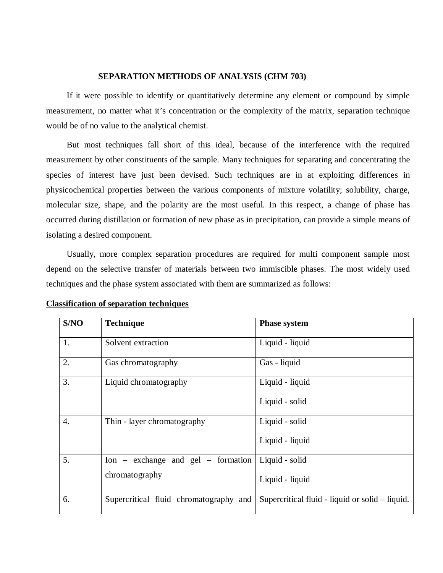### **SEPARATION METHODS OF ANALYSIS (CHM 703)**

If it were possible to identify or quantitatively determine any element or compound by simple measurement, no matter what it's concentration or the complexity of the matrix, separation technique would be of no value to the analytical chemist.

But most techniques fall short of this ideal, because of the interference with the required measurement by other constituents of the sample. Many techniques for separating and concentrating the species of interest have just been devised. Such techniques are in at exploiting differences in physicochemical properties between the various components of mixture volatility; solubility, charge, molecular size, shape, and the polarity are the most useful. In this respect, a change of phase has occurred during distillation or formation of new phase as in precipitation, can provide a simple means of isolating a desired component.

Usually, more complex separation procedures are required for multi component sample most depend on the selective transfer of materials between two immiscible phases. The most widely used techniques and the phase system associated with them are summarized as follows:

| S/NO             | <b>Technique</b>                                                   | <b>Phase system</b>                             |
|------------------|--------------------------------------------------------------------|-------------------------------------------------|
| 1.               | Solvent extraction                                                 | Liquid - liquid                                 |
| 2.               | Gas chromatography                                                 | Gas - liquid                                    |
| 3.               | Liquid chromatography                                              | Liquid - liquid                                 |
|                  |                                                                    | Liquid - solid                                  |
| $\overline{4}$ . | Thin - layer chromatography                                        | Liquid - solid                                  |
|                  |                                                                    | Liquid - liquid                                 |
| 5.               | $\text{Ion} - \text{exchange}$ and $\text{gel} - \text{formation}$ | Liquid - solid                                  |
|                  | chromatography                                                     | Liquid - liquid                                 |
| 6.               | Supercritical fluid chromatography and                             | Supercritical fluid - liquid or solid – liquid. |

**Classification of separation techniques**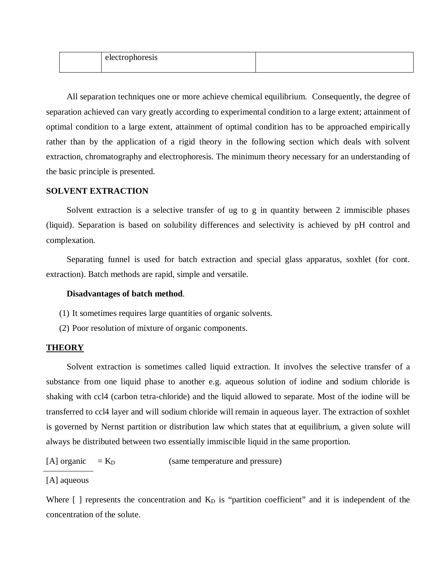| טונט ש<br>-------<br>. |  |
|------------------------|--|
|                        |  |

All separation techniques one or more achieve chemical equilibrium. Consequently, the degree of separation achieved can vary greatly according to experimental condition to a large extent; attainment of optimal condition to a large extent, attainment of optimal condition has to be approached empirically rather than by the application of a rigid theory in the following section which deals with solvent extraction, chromatography and electrophoresis. The minimum theory necessary for an understanding of the basic principle is presented.

# **SOLVENT EXTRACTION**

Solvent extraction is a selective transfer of ug to g in quantity between 2 immiscible phases (liquid). Separation is based on solubility differences and selectivity is achieved by pH control and complexation.

Separating funnel is used for batch extraction and special glass apparatus, soxhlet (for cont. extraction). Batch methods are rapid, simple and versatile.

### **Disadvantages of batch method**.

- (1) It sometimes requires large quantities of organic solvents.
- (2) Poor resolution of mixture of organic components.

#### **THEORY**

Solvent extraction is sometimes called liquid extraction. It involves the selective transfer of a substance from one liquid phase to another e.g. aqueous solution of iodine and sodium chloride is shaking with ccl4 (carbon tetra-chloride) and the liquid allowed to separate. Most of the iodine will be transferred to ccl4 layer and will sodium chloride will remain in aqueous layer. The extraction of soxhlet is governed by Nernst partition or distribution law which states that at equilibrium, a given solute will always be distributed between two essentially immiscible liquid in the same proportion.

[A] organic  $= K_D$  (same temperature and pressure)

[A] aqueous

Where  $\lceil$  ] represents the concentration and  $K_D$  is "partition coefficient" and it is independent of the concentration of the solute.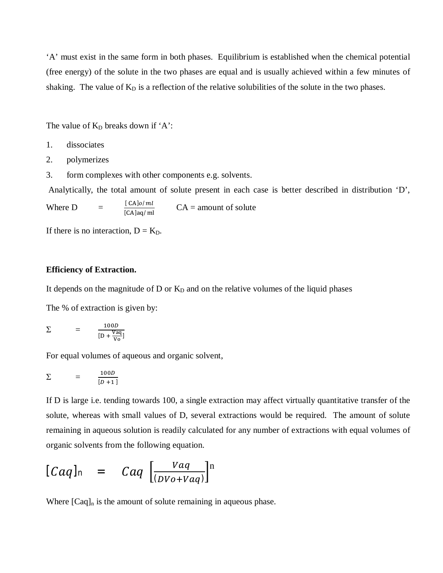'A' must exist in the same form in both phases. Equilibrium is established when the chemical potential (free energy) of the solute in the two phases are equal and is usually achieved within a few minutes of shaking. The value of  $K_D$  is a reflection of the relative solubilities of the solute in the two phases.

The value of  $K_D$  breaks down if 'A':

- 1. dissociates
- 2. polymerizes
- 3. form complexes with other components e.g. solvents.

Analytically, the total amount of solute present in each case is better described in distribution 'D',

Where  $D =$  $\frac{[CA]o/ml}{[CA]aq/ml}$  $CA =$  amount of solute

If there is no interaction,  $D = K_D$ .

### **Efficiency of Extraction.**

It depends on the magnitude of  $D$  or  $K_D$  and on the relative volumes of the liquid phases

The % of extraction is given by:

$$
\Sigma = \frac{100D}{[D + \frac{Vaq}{V_0}]}
$$

For equal volumes of aqueous and organic solvent,

$$
\Sigma = \frac{100D}{[D+1]}
$$

If D is large i.e. tending towards 100, a single extraction may affect virtually quantitative transfer of the solute, whereas with small values of D, several extractions would be required. The amount of solute remaining in aqueous solution is readily calculated for any number of extractions with equal volumes of organic solvents from the following equation.

$$
[Caq]_{n} = Caq \left[ \frac{Vaq}{(DVo+Vaq)} \right]^{n}
$$

Where  $[Caq]_n$  is the amount of solute remaining in aqueous phase.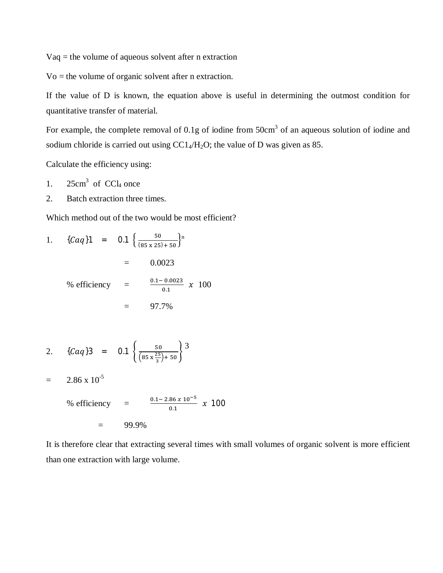Vaq = the volume of aqueous solvent after n extraction

Vo = the volume of organic solvent after n extraction.

If the value of D is known, the equation above is useful in determining the outmost condition for quantitative transfer of material.

For example, the complete removal of 0.1g of iodine from  $50 \text{cm}^3$  of an aqueous solution of iodine and sodium chloride is carried out using  $CC1_4/H_2O$ ; the value of D was given as 85.

Calculate the efficiency using:

- 1.  $25 \text{cm}^3$  of CCl<sub>4</sub> once
- 2. Batch extraction three times.

Which method out of the two would be most efficient?

1. 
$$
\{Caq\}1 = 0.1 \left\{ \frac{50}{(85 \times 25) + 50} \right\}^{n}
$$
  
\n $= 0.0023$   
\n% efficiency  $= \frac{0.1 - 0.0023}{0.1} \times 100$   
\n $= 97.7\%$ 

2. 
$$
\{Caq\}3 = 0.1 \left\{ \frac{50}{(85 \times \frac{25}{3}) + 50} \right\}^3
$$

$$
= 2.86 \times 10^{-5}
$$

% efficiency 
$$
= \frac{0.1 - 2.86 \times 10^{-5}}{0.1} \times 100
$$

$$
= 99.9\%
$$

It is therefore clear that extracting several times with small volumes of organic solvent is more efficient than one extraction with large volume.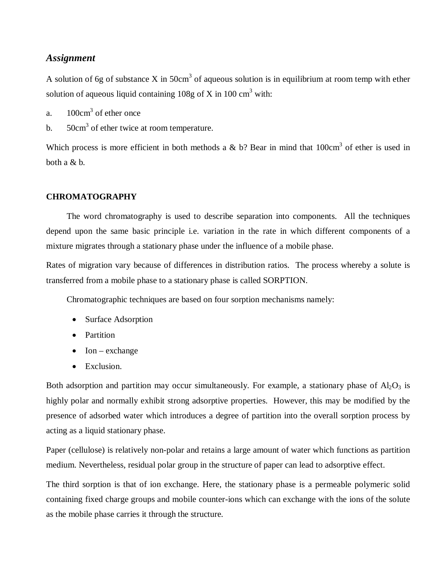# *Assignment*

A solution of 6g of substance X in 50cm<sup>3</sup> of aqueous solution is in equilibrium at room temp with ether solution of aqueous liquid containing  $108g$  of X in  $100 \text{ cm}^3$  with:

- a.  $100 \text{cm}^3$  of ether once
- b.  $50 \text{cm}^3$  of ether twice at room temperature.

Which process is more efficient in both methods a & b? Bear in mind that  $100 \text{cm}^3$  of ether is used in both a & b.

# **CHROMATOGRAPHY**

The word chromatography is used to describe separation into components. All the techniques depend upon the same basic principle i.e. variation in the rate in which different components of a mixture migrates through a stationary phase under the influence of a mobile phase.

Rates of migration vary because of differences in distribution ratios. The process whereby a solute is transferred from a mobile phase to a stationary phase is called SORPTION.

Chromatographic techniques are based on four sorption mechanisms namely:

- Surface Adsorption
- Partition
- $\bullet$  Ion exchange
- Exclusion.

Both adsorption and partition may occur simultaneously. For example, a stationary phase of  $Al_2O_3$  is highly polar and normally exhibit strong adsorptive properties. However, this may be modified by the presence of adsorbed water which introduces a degree of partition into the overall sorption process by acting as a liquid stationary phase.

Paper (cellulose) is relatively non-polar and retains a large amount of water which functions as partition medium. Nevertheless, residual polar group in the structure of paper can lead to adsorptive effect.

The third sorption is that of ion exchange. Here, the stationary phase is a permeable polymeric solid containing fixed charge groups and mobile counter-ions which can exchange with the ions of the solute as the mobile phase carries it through the structure.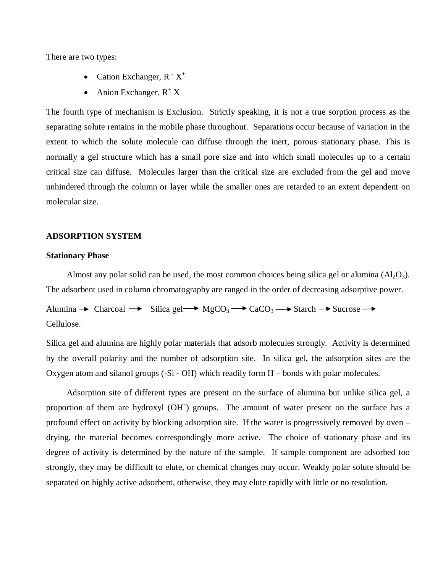There are two types:

- Cation Exchanger,  $R \times Y^+$
- Anion Exchanger,  $R^+ X^-$

The fourth type of mechanism is Exclusion. Strictly speaking, it is not a true sorption process as the separating solute remains in the mobile phase throughout. Separations occur because of variation in the extent to which the solute molecule can diffuse through the inert, porous stationary phase. This is normally a gel structure which has a small pore size and into which small molecules up to a certain critical size can diffuse. Molecules larger than the critical size are excluded from the gel and move unhindered through the column or layer while the smaller ones are retarded to an extent dependent on molecular size.

## **ADSORPTION SYSTEM**

### **Stationary Phase**

Almost any polar solid can be used, the most common choices being silica gel or alumina  $(A<sub>2</sub>O<sub>3</sub>)$ . The adsorbent used in column chromatography are ranged in the order of decreasing adsorptive power.

Alumina  $\rightarrow$  Charcoal  $\rightarrow$  Silica gel  $\rightarrow$  MgCO<sub>3</sub>  $\rightarrow$  CaCO<sub>3</sub>  $\rightarrow$  Starch  $\rightarrow$  Sucrose  $\rightarrow$ Cellulose.

Silica gel and alumina are highly polar materials that adsorb molecules strongly. Activity is determined by the overall polarity and the number of adsorption site. In silica gel, the adsorption sites are the Oxygen atom and silanol groups (-Si - OH) which readily form H – bonds with polar molecules.

Adsorption site of different types are present on the surface of alumina but unlike silica gel, a proportion of them are hydroxyl (OH<sup>-</sup>) groups. The amount of water present on the surface has a profound effect on activity by blocking adsorption site. If the water is progressively removed by oven – drying, the material becomes correspondingly more active. The choice of stationary phase and its degree of activity is determined by the nature of the sample. If sample component are adsorbed too strongly, they may be difficult to elute, or chemical changes may occur. Weakly polar solute should be separated on highly active adsorbent, otherwise, they may elute rapidly with little or no resolution.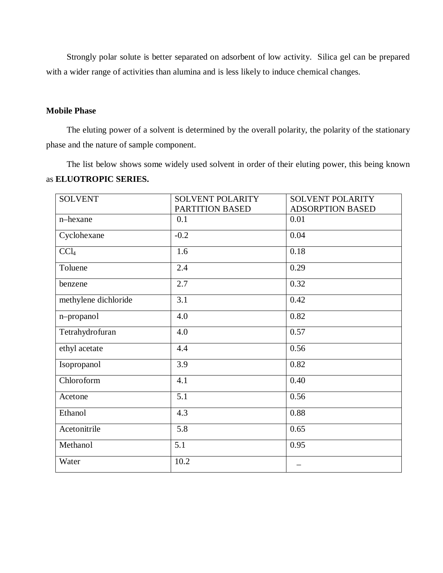Strongly polar solute is better separated on adsorbent of low activity. Silica gel can be prepared with a wider range of activities than alumina and is less likely to induce chemical changes.

# **Mobile Phase**

The eluting power of a solvent is determined by the overall polarity, the polarity of the stationary phase and the nature of sample component.

The list below shows some widely used solvent in order of their eluting power, this being known as **ELUOTROPIC SERIES.**

| <b>SOLVENT</b>       | <b>SOLVENT POLARITY</b> | <b>SOLVENT POLARITY</b> |  |  |  |
|----------------------|-------------------------|-------------------------|--|--|--|
|                      | PARTITION BASED         | <b>ADSORPTION BASED</b> |  |  |  |
| n-hexane             | 0.1                     | 0.01                    |  |  |  |
| Cyclohexane          | $-0.2$                  | 0.04                    |  |  |  |
| CCl <sub>4</sub>     | 1.6                     | 0.18                    |  |  |  |
| Toluene              | 2.4                     | 0.29                    |  |  |  |
| benzene              | 2.7                     | 0.32                    |  |  |  |
| methylene dichloride | 3.1                     | 0.42                    |  |  |  |
| n-propanol           | 4.0                     | 0.82                    |  |  |  |
| Tetrahydrofuran      | 4.0                     | 0.57                    |  |  |  |
| ethyl acetate        | 4.4                     | 0.56                    |  |  |  |
| Isopropanol          | 3.9                     | 0.82                    |  |  |  |
| Chloroform           | 4.1                     | 0.40                    |  |  |  |
| Acetone              | 5.1                     | 0.56                    |  |  |  |
| Ethanol              | 4.3                     | 0.88                    |  |  |  |
| Acetonitrile         | 5.8                     | 0.65                    |  |  |  |
| Methanol             | 5.1                     | 0.95                    |  |  |  |
| Water                | 10.2                    |                         |  |  |  |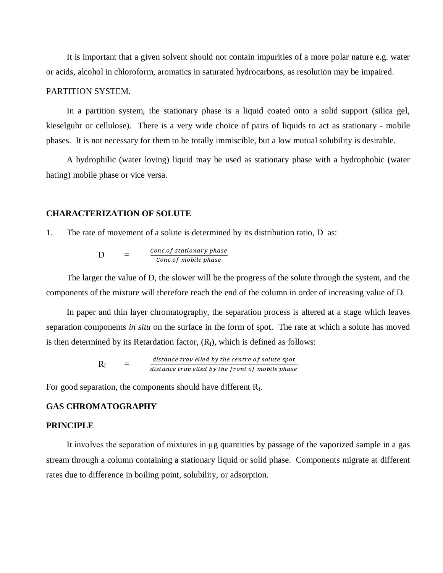It is important that a given solvent should not contain impurities of a more polar nature e.g. water or acids, alcohol in chloroform, aromatics in saturated hydrocarbons, as resolution may be impaired.

### PARTITION SYSTEM.

In a partition system, the stationary phase is a liquid coated onto a solid support (silica gel, kieselguhr or cellulose). There is a very wide choice of pairs of liquids to act as stationary - mobile phases. It is not necessary for them to be totally immiscible, but a low mutual solubility is desirable.

A hydrophilic (water loving) liquid may be used as stationary phase with a hydrophobic (water hating) mobile phase or vice versa.

# **CHARACTERIZATION OF SOLUTE**

1. The rate of movement of a solute is determined by its distribution ratio, D as:

$$
D = \frac{Concof stationary phase}{Concof mobile phase}
$$

The larger the value of D, the slower will be the progress of the solute through the system, and the components of the mixture will therefore reach the end of the column in order of increasing value of D.

In paper and thin layer chromatography, the separation process is altered at a stage which leaves separation components *in situ* on the surface in the form of spot. The rate at which a solute has moved is then determined by its Retardation factor,  $(R_f)$ , which is defined as follows:

> $R_f =$ distance trav elled by the centre of solute spot distance trav elled by the front of mobile phase

For good separation, the components should have different  $R_f$ .

# **GAS CHROMATOGRAPHY**

#### **PRINCIPLE**

It involves the separation of mixtures in µg quantities by passage of the vaporized sample in a gas stream through a column containing a stationary liquid or solid phase. Components migrate at different rates due to difference in boiling point, solubility, or adsorption.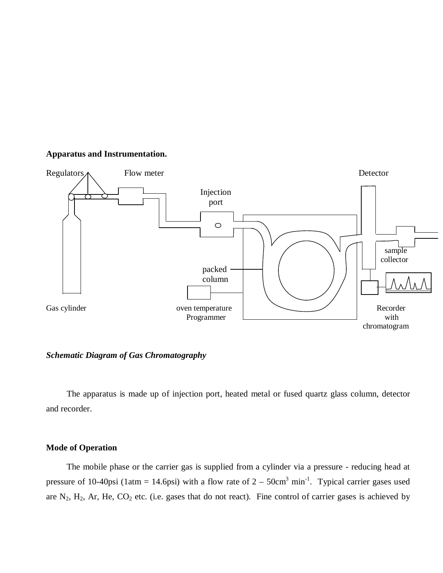# **Apparatus and Instrumentation.**



*Schematic Diagram of Gas Chromatography*

The apparatus is made up of injection port, heated metal or fused quartz glass column, detector and recorder.

# **Mode of Operation**

The mobile phase or the carrier gas is supplied from a cylinder via a pressure - reducing head at pressure of 10-40psi (1atm = 14.6psi) with a flow rate of  $2 - 50 \text{cm}^3 \text{ min}^{-1}$ . Typical carrier gases used are  $N_2$ ,  $H_2$ , Ar, He,  $CO_2$  etc. (i.e. gases that do not react). Fine control of carrier gases is achieved by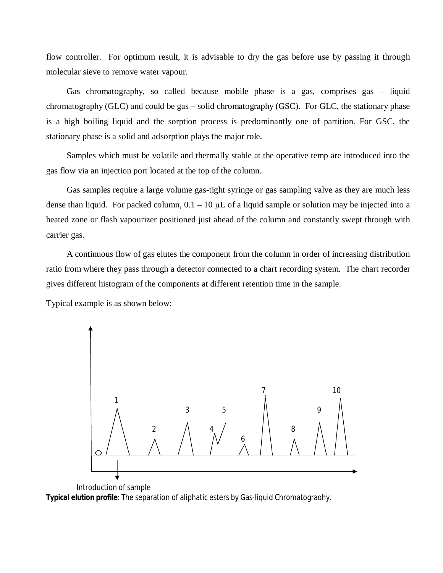flow controller. For optimum result, it is advisable to dry the gas before use by passing it through molecular sieve to remove water vapour.

Gas chromatography, so called because mobile phase is a gas, comprises gas – liquid chromatography (GLC) and could be gas – solid chromatography (GSC). For GLC, the stationary phase is a high boiling liquid and the sorption process is predominantly one of partition. For GSC, the stationary phase is a solid and adsorption plays the major role.

Samples which must be volatile and thermally stable at the operative temp are introduced into the gas flow via an injection port located at the top of the column.

Gas samples require a large volume gas-tight syringe or gas sampling valve as they are much less dense than liquid. For packed column,  $0.1 - 10 \mu L$  of a liquid sample or solution may be injected into a heated zone or flash vapourizer positioned just ahead of the column and constantly swept through with carrier gas.

A continuous flow of gas elutes the component from the column in order of increasing distribution ratio from where they pass through a detector connected to a chart recording system. The chart recorder gives different histogram of the components at different retention time in the sample.

Typical example is as shown below:



 Introduction of sample *Typical elution profile*: The separation of aliphatic esters by Gas-liquid Chromatograohy.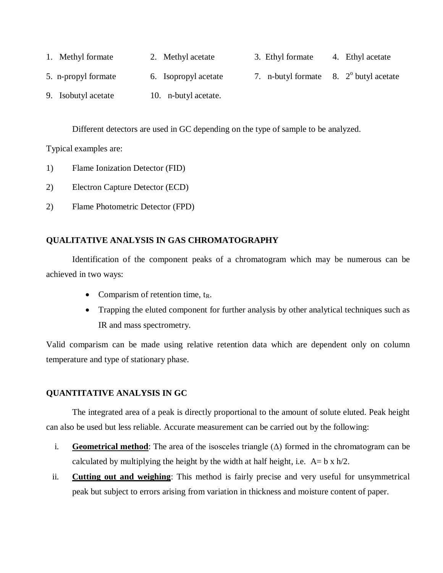| 1. Methyl formate   | 2. Methyl acetate    | 3. Ethyl formate                                    | 4. Ethyl acetate |
|---------------------|----------------------|-----------------------------------------------------|------------------|
| 5. n-propyl formate | 6. Isopropyl acetate | 7. n-butyl formate $\,8. \,2^{\circ}$ butyl acetate |                  |
| 9. Isobutyl acetate | 10. n-butyl acetate. |                                                     |                  |

Different detectors are used in GC depending on the type of sample to be analyzed.

Typical examples are:

- 1) Flame Ionization Detector (FID)
- 2) Electron Capture Detector (ECD)
- 2) Flame Photometric Detector (FPD)

# **QUALITATIVE ANALYSIS IN GAS CHROMATOGRAPHY**

Identification of the component peaks of a chromatogram which may be numerous can be achieved in two ways:

- Comparism of retention time,  $t_R$ .
- Trapping the eluted component for further analysis by other analytical techniques such as IR and mass spectrometry.

Valid comparism can be made using relative retention data which are dependent only on column temperature and type of stationary phase.

# **QUANTITATIVE ANALYSIS IN GC**

The integrated area of a peak is directly proportional to the amount of solute eluted. Peak height can also be used but less reliable. Accurate measurement can be carried out by the following:

- i. **Geometrical method**: The area of the isosceles triangle  $(\Delta)$  formed in the chromatogram can be calculated by multiplying the height by the width at half height, i.e.  $A = b \times h/2$ .
- ii. **Cutting out and weighing**: This method is fairly precise and very useful for unsymmetrical peak but subject to errors arising from variation in thickness and moisture content of paper.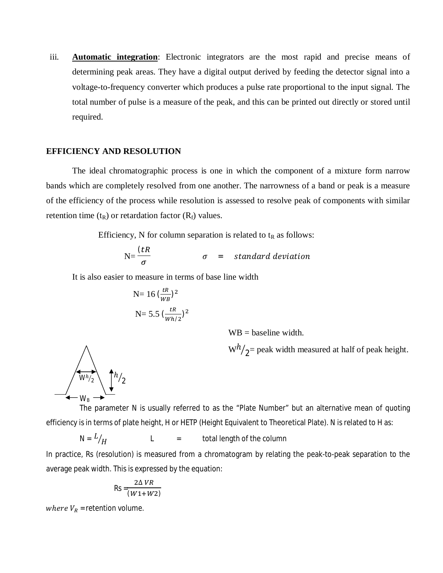iii. **Automatic integration**: Electronic integrators are the most rapid and precise means of determining peak areas. They have a digital output derived by feeding the detector signal into a voltage-to-frequency converter which produces a pulse rate proportional to the input signal. The total number of pulse is a measure of the peak, and this can be printed out directly or stored until required.

## **EFFICIENCY AND RESOLUTION**

The ideal chromatographic process is one in which the component of a mixture form narrow bands which are completely resolved from one another. The narrowness of a band or peak is a measure of the efficiency of the process while resolution is assessed to resolve peak of components with similar retention time  $(t_R)$  or retardation factor  $(R_f)$  values.

Efficiency, N for column separation is related to  $t<sub>R</sub>$  as follows:

$$
N=\frac{(tR)}{\sigma} \qquad \qquad \sigma \quad = \quad standard \; deviation
$$

It is also easier to measure in terms of base line width

N= 16 
$$
\left(\frac{tR}{WB}\right)^2
$$
  
N= 5.5  $\left(\frac{tR}{Wh/2}\right)^2$ 

 $WB = baseline$  width.

 $\mathrm{W}h/_{2}$ = peak width measured at half of peak height.



The parameter N is usually referred to as the "Plate Number" but an alternative mean of quoting efficiency is in terms of plate height, H or HETP (Height Equivalent to Theoretical Plate). N is related to H as:

 $N = L / H$  $L =$  total length of the column

In practice, Rs (resolution) is measured from a chromatogram by relating the peak-to-peak separation to the average peak width. This is expressed by the equation:

$$
\mathsf{Rs} = \frac{2\Delta VR}{(W1+W2)}
$$

where  $V_R$  = retention volume.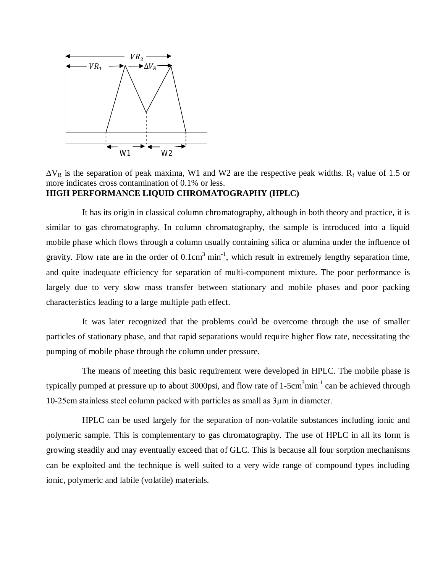

 $\Delta V_R$  is the separation of peak maxima, W1 and W2 are the respective peak widths. R<sub>f</sub> value of 1.5 or more indicates cross contamination of 0.1% or less. **HIGH PERFORMANCE LIQUID CHROMATOGRAPHY (HPLC)**

It has its origin in classical column chromatography, although in both theory and practice, it is similar to gas chromatography. In column chromatography, the sample is introduced into a liquid mobile phase which flows through a column usually containing silica or alumina under the influence of gravity. Flow rate are in the order of  $0.1 \text{cm}^3$  min<sup>-1</sup>, which result in extremely lengthy separation time, and quite inadequate efficiency for separation of multi-component mixture. The poor performance is largely due to very slow mass transfer between stationary and mobile phases and poor packing characteristics leading to a large multiple path effect.

It was later recognized that the problems could be overcome through the use of smaller particles of stationary phase, and that rapid separations would require higher flow rate, necessitating the pumping of mobile phase through the column under pressure.

The means of meeting this basic requirement were developed in HPLC. The mobile phase is typically pumped at pressure up to about 3000psi, and flow rate of 1-5cm<sup>3</sup>min<sup>-1</sup> can be achieved through 10-25cm stainless steel column packed with particles as small as 3µm in diameter.

HPLC can be used largely for the separation of non-volatile substances including ionic and polymeric sample. This is complementary to gas chromatography. The use of HPLC in all its form is growing steadily and may eventually exceed that of GLC. This is because all four sorption mechanisms can be exploited and the technique is well suited to a very wide range of compound types including ionic, polymeric and labile (volatile) materials.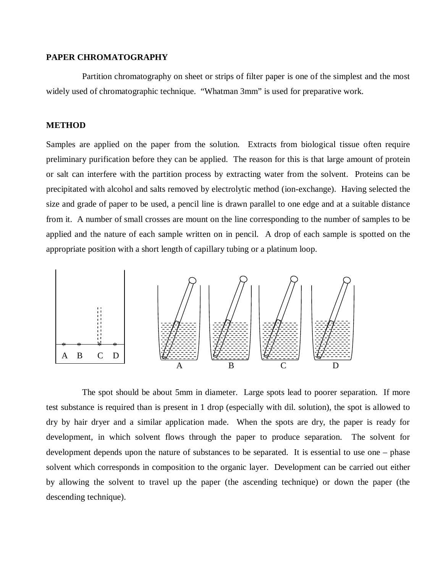### **PAPER CHROMATOGRAPHY**

Partition chromatography on sheet or strips of filter paper is one of the simplest and the most widely used of chromatographic technique. "Whatman 3mm" is used for preparative work.

# **METHOD**

Samples are applied on the paper from the solution. Extracts from biological tissue often require preliminary purification before they can be applied. The reason for this is that large amount of protein or salt can interfere with the partition process by extracting water from the solvent. Proteins can be precipitated with alcohol and salts removed by electrolytic method (ion-exchange). Having selected the size and grade of paper to be used, a pencil line is drawn parallel to one edge and at a suitable distance from it. A number of small crosses are mount on the line corresponding to the number of samples to be applied and the nature of each sample written on in pencil. A drop of each sample is spotted on the appropriate position with a short length of capillary tubing or a platinum loop.



The spot should be about 5mm in diameter. Large spots lead to poorer separation. If more test substance is required than is present in 1 drop (especially with dil. solution), the spot is allowed to dry by hair dryer and a similar application made. When the spots are dry, the paper is ready for development, in which solvent flows through the paper to produce separation. The solvent for development depends upon the nature of substances to be separated. It is essential to use one – phase solvent which corresponds in composition to the organic layer. Development can be carried out either by allowing the solvent to travel up the paper (the ascending technique) or down the paper (the descending technique).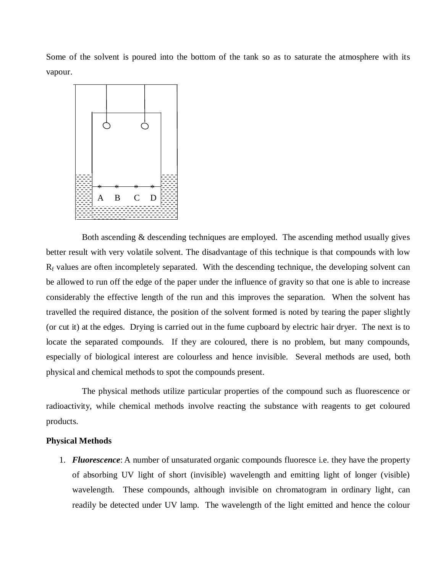Some of the solvent is poured into the bottom of the tank so as to saturate the atmosphere with its vapour.



Both ascending & descending techniques are employed. The ascending method usually gives better result with very volatile solvent. The disadvantage of this technique is that compounds with low  $R_f$  values are often incompletely separated. With the descending technique, the developing solvent can be allowed to run off the edge of the paper under the influence of gravity so that one is able to increase considerably the effective length of the run and this improves the separation. When the solvent has travelled the required distance, the position of the solvent formed is noted by tearing the paper slightly (or cut it) at the edges. Drying is carried out in the fume cupboard by electric hair dryer. The next is to locate the separated compounds. If they are coloured, there is no problem, but many compounds, especially of biological interest are colourless and hence invisible. Several methods are used, both physical and chemical methods to spot the compounds present.

The physical methods utilize particular properties of the compound such as fluorescence or radioactivity, while chemical methods involve reacting the substance with reagents to get coloured products.

## **Physical Methods**

1. *Fluorescence*: A number of unsaturated organic compounds fluoresce i.e. they have the property of absorbing UV light of short (invisible) wavelength and emitting light of longer (visible) wavelength. These compounds, although invisible on chromatogram in ordinary light, can readily be detected under UV lamp. The wavelength of the light emitted and hence the colour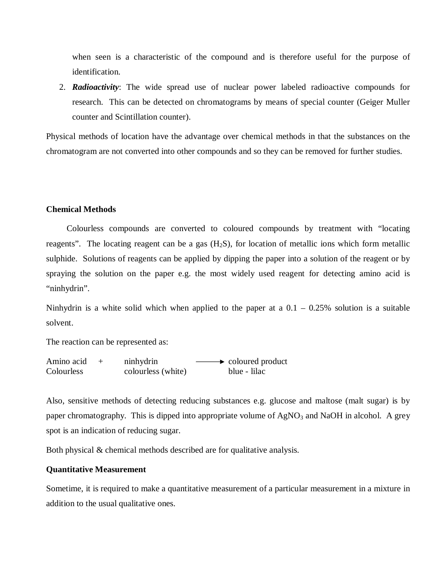when seen is a characteristic of the compound and is therefore useful for the purpose of identification.

2. *Radioactivity*: The wide spread use of nuclear power labeled radioactive compounds for research. This can be detected on chromatograms by means of special counter (Geiger Muller counter and Scintillation counter).

Physical methods of location have the advantage over chemical methods in that the substances on the chromatogram are not converted into other compounds and so they can be removed for further studies.

### **Chemical Methods**

Colourless compounds are converted to coloured compounds by treatment with "locating reagents". The locating reagent can be a gas  $(H<sub>2</sub>S)$ , for location of metallic ions which form metallic sulphide. Solutions of reagents can be applied by dipping the paper into a solution of the reagent or by spraying the solution on the paper e.g. the most widely used reagent for detecting amino acid is "ninhydrin".

Ninhydrin is a white solid which when applied to the paper at a  $0.1 - 0.25\%$  solution is a suitable solvent.

The reaction can be represented as:

Amino acid  $+$  ninhydrin  $\longrightarrow$  coloured product Colourless colourless (white) blue - lilac

Also, sensitive methods of detecting reducing substances e.g. glucose and maltose (malt sugar) is by paper chromatography. This is dipped into appropriate volume of  $AgNO<sub>3</sub>$  and NaOH in alcohol. A grey spot is an indication of reducing sugar.

Both physical & chemical methods described are for qualitative analysis.

## **Quantitative Measurement**

Sometime, it is required to make a quantitative measurement of a particular measurement in a mixture in addition to the usual qualitative ones.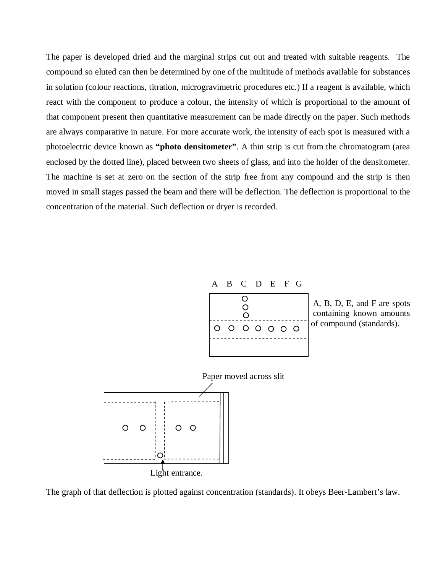The paper is developed dried and the marginal strips cut out and treated with suitable reagents. The compound so eluted can then be determined by one of the multitude of methods available for substances in solution (colour reactions, titration, microgravimetric procedures etc.) If a reagent is available, which react with the component to produce a colour, the intensity of which is proportional to the amount of that component present then quantitative measurement can be made directly on the paper. Such methods are always comparative in nature. For more accurate work, the intensity of each spot is measured with a photoelectric device known as **"photo densitometer"**. A thin strip is cut from the chromatogram (area enclosed by the dotted line), placed between two sheets of glass, and into the holder of the densitometer. The machine is set at zero on the section of the strip free from any compound and the strip is then moved in small stages passed the beam and there will be deflection. The deflection is proportional to the concentration of the material. Such deflection or dryer is recorded.



 containing known amounts of compound (standards).



The graph of that deflection is plotted against concentration (standards). It obeys Beer-Lambert's law.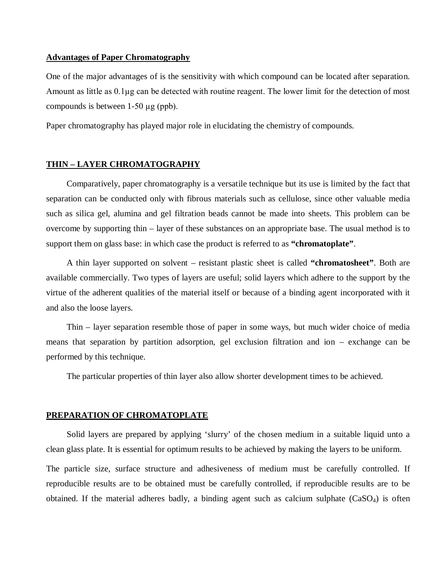## **Advantages of Paper Chromatography**

One of the major advantages of is the sensitivity with which compound can be located after separation. Amount as little as 0.1µg can be detected with routine reagent. The lower limit for the detection of most compounds is between 1-50 µg (ppb).

Paper chromatography has played major role in elucidating the chemistry of compounds.

#### **THIN – LAYER CHROMATOGRAPHY**

Comparatively, paper chromatography is a versatile technique but its use is limited by the fact that separation can be conducted only with fibrous materials such as cellulose, since other valuable media such as silica gel, alumina and gel filtration beads cannot be made into sheets. This problem can be overcome by supporting thin – layer of these substances on an appropriate base. The usual method is to support them on glass base: in which case the product is referred to as **"chromatoplate"**.

A thin layer supported on solvent – resistant plastic sheet is called **"chromatosheet"**. Both are available commercially. Two types of layers are useful; solid layers which adhere to the support by the virtue of the adherent qualities of the material itself or because of a binding agent incorporated with it and also the loose layers.

Thin – layer separation resemble those of paper in some ways, but much wider choice of media means that separation by partition adsorption, gel exclusion filtration and ion – exchange can be performed by this technique.

The particular properties of thin layer also allow shorter development times to be achieved.

## **PREPARATION OF CHROMATOPLATE**

Solid layers are prepared by applying 'slurry' of the chosen medium in a suitable liquid unto a clean glass plate. It is essential for optimum results to be achieved by making the layers to be uniform.

The particle size, surface structure and adhesiveness of medium must be carefully controlled. If reproducible results are to be obtained must be carefully controlled, if reproducible results are to be obtained. If the material adheres badly, a binding agent such as calcium sulphate  $(CaSO<sub>4</sub>)$  is often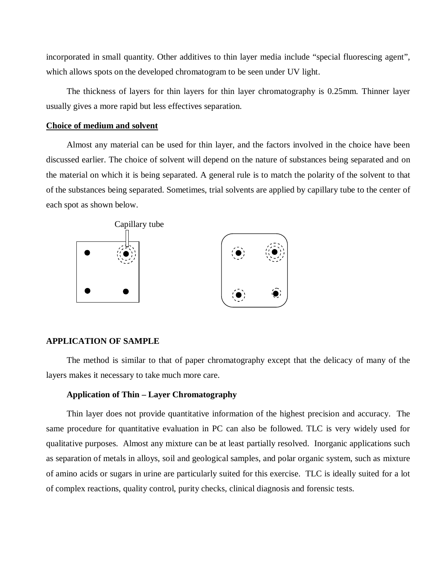incorporated in small quantity. Other additives to thin layer media include "special fluorescing agent", which allows spots on the developed chromatogram to be seen under UV light.

The thickness of layers for thin layers for thin layer chromatography is 0.25mm. Thinner layer usually gives a more rapid but less effectives separation.

#### **Choice of medium and solvent**

Almost any material can be used for thin layer, and the factors involved in the choice have been discussed earlier. The choice of solvent will depend on the nature of substances being separated and on the material on which it is being separated. A general rule is to match the polarity of the solvent to that of the substances being separated. Sometimes, trial solvents are applied by capillary tube to the center of each spot as shown below.



### **APPLICATION OF SAMPLE**

The method is similar to that of paper chromatography except that the delicacy of many of the layers makes it necessary to take much more care.

### **Application of Thin – Layer Chromatography**

Thin layer does not provide quantitative information of the highest precision and accuracy. The same procedure for quantitative evaluation in PC can also be followed. TLC is very widely used for qualitative purposes. Almost any mixture can be at least partially resolved. Inorganic applications such as separation of metals in alloys, soil and geological samples, and polar organic system, such as mixture of amino acids or sugars in urine are particularly suited for this exercise. TLC is ideally suited for a lot of complex reactions, quality control, purity checks, clinical diagnosis and forensic tests.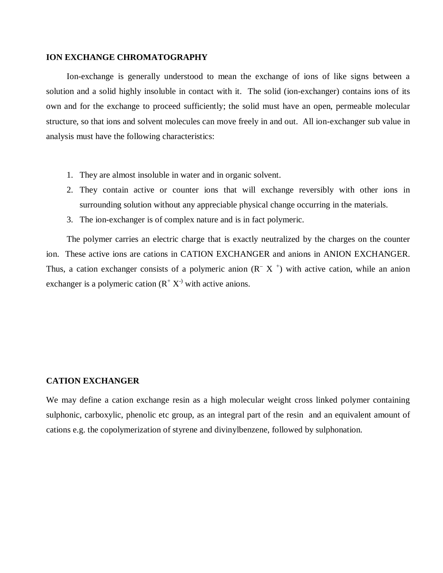### **ION EXCHANGE CHROMATOGRAPHY**

Ion-exchange is generally understood to mean the exchange of ions of like signs between a solution and a solid highly insoluble in contact with it. The solid (ion-exchanger) contains ions of its own and for the exchange to proceed sufficiently; the solid must have an open, permeable molecular structure, so that ions and solvent molecules can move freely in and out. All ion-exchanger sub value in analysis must have the following characteristics:

- 1. They are almost insoluble in water and in organic solvent.
- 2. They contain active or counter ions that will exchange reversibly with other ions in surrounding solution without any appreciable physical change occurring in the materials.
- 3. The ion-exchanger is of complex nature and is in fact polymeric.

The polymer carries an electric charge that is exactly neutralized by the charges on the counter ion. These active ions are cations in CATION EXCHANGER and anions in ANION EXCHANGER. Thus, a cation exchanger consists of a polymeric anion  $(R^- X^+)$  with active cation, while an anion exchanger is a polymeric cation  $(R^+ X^{\text{-}})$  with active anions.

### **CATION EXCHANGER**

We may define a cation exchange resin as a high molecular weight cross linked polymer containing sulphonic, carboxylic, phenolic etc group, as an integral part of the resin and an equivalent amount of cations e.g. the copolymerization of styrene and divinylbenzene, followed by sulphonation.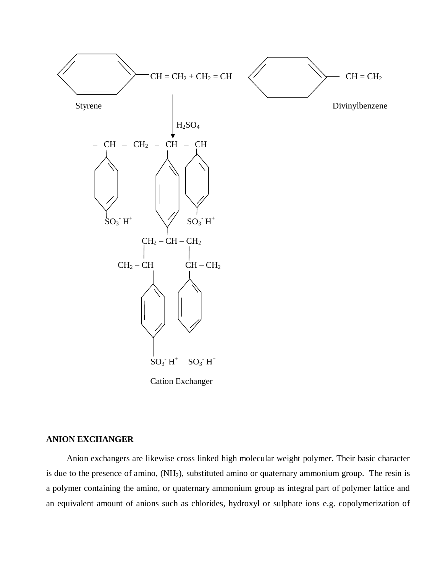

Cation Exchanger

# **ANION EXCHANGER**

Anion exchangers are likewise cross linked high molecular weight polymer. Their basic character is due to the presence of amino, (NH<sub>2</sub>), substituted amino or quaternary ammonium group. The resin is a polymer containing the amino, or quaternary ammonium group as integral part of polymer lattice and an equivalent amount of anions such as chlorides, hydroxyl or sulphate ions e.g. copolymerization of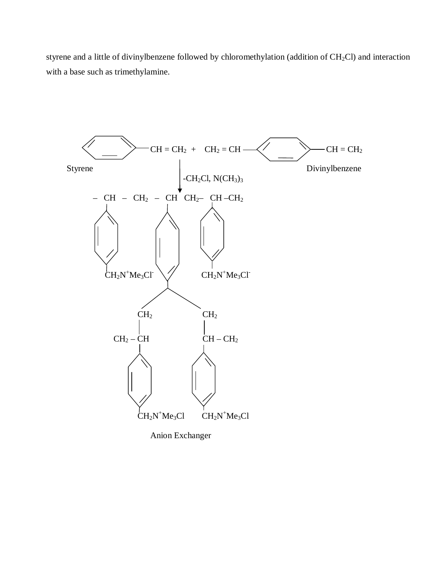styrene and a little of divinylbenzene followed by chloromethylation (addition of  $CH_2Cl$ ) and interaction with a base such as trimethylamine.

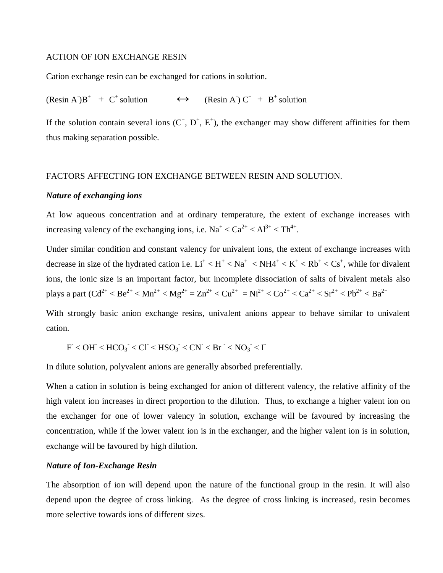### ACTION OF ION EXCHANGE RESIN

Cation exchange resin can be exchanged for cations in solution.

 $(Resin A^T)B^+ + C^+$ solution  $\leftrightarrow$  (Resin A)  $C^+ + B^+$  solution

If the solution contain several ions  $(C^+, D^+, E^+)$ , the exchanger may show different affinities for them thus making separation possible.

## FACTORS AFFECTING ION EXCHANGE BETWEEN RESIN AND SOLUTION.

### *Nature of exchanging ions*

At low aqueous concentration and at ordinary temperature, the extent of exchange increases with increasing valency of the exchanging ions, i.e.  $Na^+ < Ca^{2+} < Al^{3+} < Th^{4+}$ .

Under similar condition and constant valency for univalent ions, the extent of exchange increases with decrease in size of the hydrated cation i.e.  $Li^+$  <  $H^+$  <  $Na^+$  <  $NH4^+$  <  $K^+$  <  $Rb^+$  <  $Cs^+$ , while for divalent ions, the ionic size is an important factor, but incomplete dissociation of salts of bivalent metals also plays a part (Cd<sup>2+</sup> < Be<sup>2+</sup> < Mn<sup>2+</sup> < Mg<sup>2+</sup> = Zn<sup>2+</sup> < Cu<sup>2+</sup> = Ni<sup>2+</sup> < Co<sup>2+</sup> < Ca<sup>2+</sup> < Sr<sup>2+</sup> < Pb<sup>2+</sup> < Ba<sup>2+</sup>

With strongly basic anion exchange resins, univalent anions appear to behave similar to univalent cation.

$$
F
$$

In dilute solution, polyvalent anions are generally absorbed preferentially.

When a cation in solution is being exchanged for anion of different valency, the relative affinity of the high valent ion increases in direct proportion to the dilution. Thus, to exchange a higher valent ion on the exchanger for one of lower valency in solution, exchange will be favoured by increasing the concentration, while if the lower valent ion is in the exchanger, and the higher valent ion is in solution, exchange will be favoured by high dilution.

# *Nature of Ion-Exchange Resin*

The absorption of ion will depend upon the nature of the functional group in the resin. It will also depend upon the degree of cross linking. As the degree of cross linking is increased, resin becomes more selective towards ions of different sizes.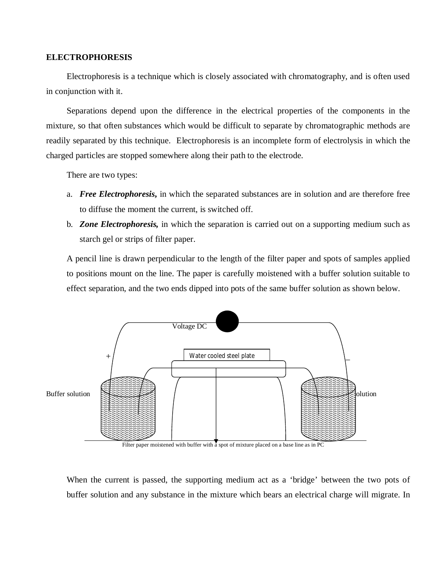### **ELECTROPHORESIS**

Electrophoresis is a technique which is closely associated with chromatography, and is often used in conjunction with it.

Separations depend upon the difference in the electrical properties of the components in the mixture, so that often substances which would be difficult to separate by chromatographic methods are readily separated by this technique. Electrophoresis is an incomplete form of electrolysis in which the charged particles are stopped somewhere along their path to the electrode.

There are two types:

- a. *Free Electrophoresis***,** in which the separated substances are in solution and are therefore free to diffuse the moment the current, is switched off.
- b. *Zone Electrophoresis,* in which the separation is carried out on a supporting medium such as starch gel or strips of filter paper.

A pencil line is drawn perpendicular to the length of the filter paper and spots of samples applied to positions mount on the line. The paper is carefully moistened with a buffer solution suitable to effect separation, and the two ends dipped into pots of the same buffer solution as shown below.



Filter paper moistened with buffer with  $\overline{a}$  spot of mixture placed on a base line as in PC

When the current is passed, the supporting medium act as a 'bridge' between the two pots of buffer solution and any substance in the mixture which bears an electrical charge will migrate. In